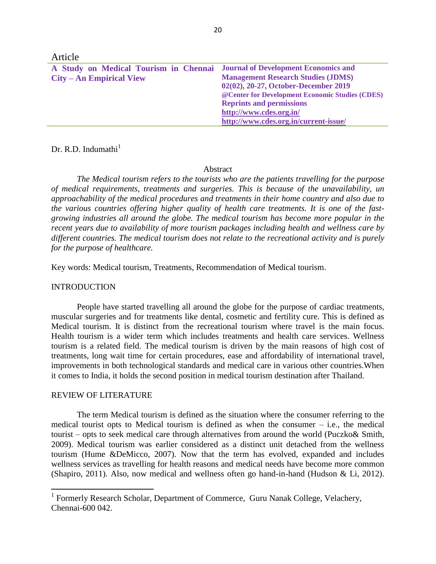| Article                                                                    |                                                  |
|----------------------------------------------------------------------------|--------------------------------------------------|
| A Study on Medical Tourism in Chennai Journal of Development Economics and |                                                  |
| $City - An Empirical View$                                                 | <b>Management Research Studies (JDMS)</b>        |
|                                                                            | 02(02), 20-27, October-December 2019             |
|                                                                            | @ Center for Development Economic Studies (CDES) |
|                                                                            | <b>Reprints and permissions</b>                  |
|                                                                            | http://www.cdes.org.in/                          |
|                                                                            | http://www.cdes.org.in/current-issue/            |

Dr. R.D. Indumathi $<sup>1</sup>$ </sup>

#### Abstract

*The Medical tourism refers to the tourists who are the patients travelling for the purpose of medical requirements, treatments and surgeries. This is because of the unavailability, un approachability of the medical procedures and treatments in their home country and also due to the various countries offering higher quality of health care treatments. It is one of the fastgrowing industries all around the globe. The medical tourism has become more popular in the recent years due to availability of more tourism packages including health and wellness care by different countries. The medical tourism does not relate to the recreational activity and is purely for the purpose of healthcare.*

Key words: Medical tourism, Treatments, Recommendation of Medical tourism.

## INTRODUCTION

People have started travelling all around the globe for the purpose of cardiac treatments, muscular surgeries and for treatments like dental, cosmetic and fertility cure. This is defined as Medical tourism. It is distinct from the recreational tourism where travel is the main focus. Health tourism is a wider term which includes treatments and health care services. Wellness tourism is a related field. The medical tourism is driven by the main reasons of high cost of treatments, long wait time for certain procedures, ease and affordability of international travel, improvements in both technological standards and medical care in various other countries.When it comes to India, it holds the second position in medical tourism destination after Thailand.

## REVIEW OF LITERATURE

 $\overline{\phantom{a}}$ 

The term Medical tourism is defined as the situation where the consumer referring to the medical tourist opts to Medical tourism is defined as when the consumer  $-$  i.e., the medical tourist – opts to seek medical care through alternatives from around the world (Puczko& Smith, 2009). Medical tourism was earlier considered as a distinct unit detached from the wellness tourism (Hume &DeMicco, 2007). Now that the term has evolved, expanded and includes wellness services as travelling for health reasons and medical needs have become more common (Shapiro, 2011). Also, now medical and wellness often go hand-in-hand (Hudson & Li, 2012).

<sup>&</sup>lt;sup>1</sup> Formerly Research Scholar, Department of Commerce, Guru Nanak College, Velachery, Chennai-600 042.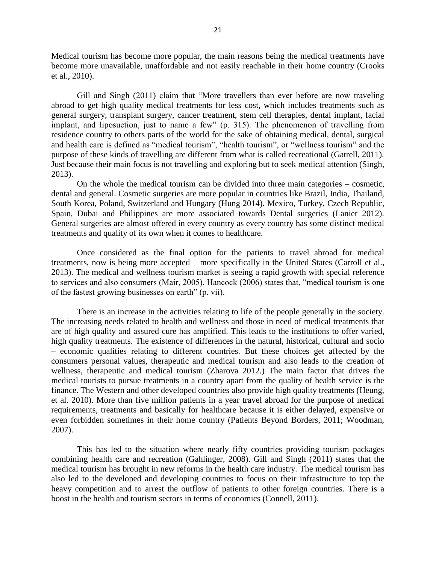Medical tourism has become more popular, the main reasons being the medical treatments have become more unavailable, unaffordable and not easily reachable in their home country (Crooks et al., 2010).

Gill and Singh (2011) claim that "More travellers than ever before are now traveling abroad to get high quality medical treatments for less cost, which includes treatments such as general surgery, transplant surgery, cancer treatment, stem cell therapies, dental implant, facial implant, and liposuction, just to name a few" (p. 315). The phenomenon of travelling from residence country to others parts of the world for the sake of obtaining medical, dental, surgical and health care is defined as "medical tourism", "health tourism", or "wellness tourism" and the purpose of these kinds of travelling are different from what is called recreational (Gatrell, 2011). Just because their main focus is not travelling and exploring but to seek medical attention (Singh, 2013).

On the whole the medical tourism can be divided into three main categories – cosmetic, dental and general. Cosmetic surgeries are more popular in countries like Brazil, India, Thailand, South Korea, Poland, Switzerland and Hungary (Hung 2014). Mexico, Turkey, Czech Republic, Spain, Dubai and Philippines are more associated towards Dental surgeries (Lanier 2012). General surgeries are almost offered in every country as every country has some distinct medical treatments and quality of its own when it comes to healthcare.

Once considered as the final option for the patients to travel abroad for medical treatments, now is being more accepted – more specifically in the United States (Carroll et al., 2013). The medical and wellness tourism market is seeing a rapid growth with special reference to services and also consumers (Mair, 2005). Hancock (2006) states that, "medical tourism is one of the fastest growing businesses on earth" (p. vii).

There is an increase in the activities relating to life of the people generally in the society. The increasing needs related to health and wellness and those in need of medical treatments that are of high quality and assured cure has amplified. This leads to the institutions to offer varied, high quality treatments. The existence of differences in the natural, historical, cultural and socio – economic qualities relating to different countries. But these choices get affected by the consumers personal values, therapeutic and medical tourism and also leads to the creation of wellness, therapeutic and medical tourism (Zharova 2012.) The main factor that drives the medical tourists to pursue treatments in a country apart from the quality of health service is the finance. The Western and other developed countries also provide high quality treatments (Heung, et al. 2010). More than five million patients in a year travel abroad for the purpose of medical requirements, treatments and basically for healthcare because it is either delayed, expensive or even forbidden sometimes in their home country (Patients Beyond Borders, 2011; Woodman, 2007).

This has led to the situation where nearly fifty countries providing tourism packages combining health care and recreation (Gahlinger, 2008). Gill and Singh (2011) states that the medical tourism has brought in new reforms in the health care industry. The medical tourism has also led to the developed and developing countries to focus on their infrastructure to top the heavy competition and to arrest the outflow of patients to other foreign countries. There is a boost in the health and tourism sectors in terms of economics (Connell, 2011).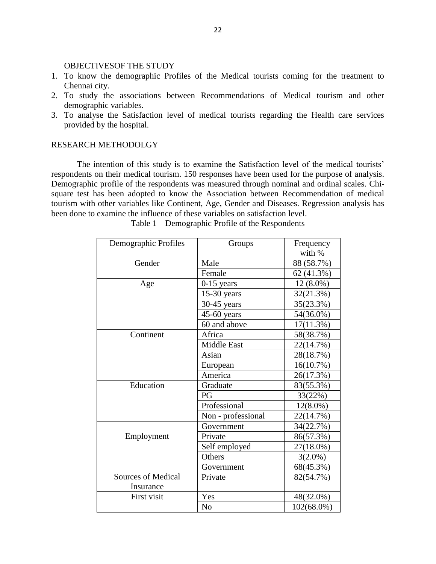## OBJECTIVESOF THE STUDY

- 1. To know the demographic Profiles of the Medical tourists coming for the treatment to Chennai city.
- 2. To study the associations between Recommendations of Medical tourism and other demographic variables.
- 3. To analyse the Satisfaction level of medical tourists regarding the Health care services provided by the hospital.

# RESEARCH METHODOLGY

The intention of this study is to examine the Satisfaction level of the medical tourists' respondents on their medical tourism. 150 responses have been used for the purpose of analysis. Demographic profile of the respondents was measured through nominal and ordinal scales. Chisquare test has been adopted to know the Association between Recommendation of medical tourism with other variables like Continent, Age, Gender and Diseases. Regression analysis has been done to examine the influence of these variables on satisfaction level.

| Demographic Profiles | Groups             | Frequency   |
|----------------------|--------------------|-------------|
|                      |                    | with %      |
| Gender               | Male               | 88 (58.7%)  |
|                      | Female             | 62 (41.3%)  |
| Age                  | $0-15$ years       | 12 (8.0%)   |
|                      | $15-30$ years      | 32(21.3%)   |
|                      | 30-45 years        | 35(23.3%)   |
|                      | 45-60 years        | 54(36.0%)   |
|                      | 60 and above       | 17(11.3%)   |
| Continent            | Africa             | 58(38.7%)   |
|                      | <b>Middle East</b> | 22(14.7%)   |
|                      | Asian              | 28(18.7%)   |
|                      | European           | 16(10.7%)   |
|                      | America            | 26(17.3%)   |
| Education            | Graduate           | 83(55.3%)   |
|                      | PG                 | 33(22%)     |
|                      | Professional       | $12(8.0\%)$ |
|                      | Non - professional | 22(14.7%)   |
|                      | Government         | 34(22.7%)   |
| Employment           | Private            | 86(57.3%)   |
|                      | Self employed      | 27(18.0%)   |
|                      | Others             | $3(2.0\%)$  |
|                      | Government         | 68(45.3%)   |
| Sources of Medical   | Private            | 82(54.7%)   |
| Insurance            |                    |             |
| First visit          | Yes                | 48(32.0%)   |
|                      | N <sub>0</sub>     | 102(68.0%)  |

Table 1 – Demographic Profile of the Respondents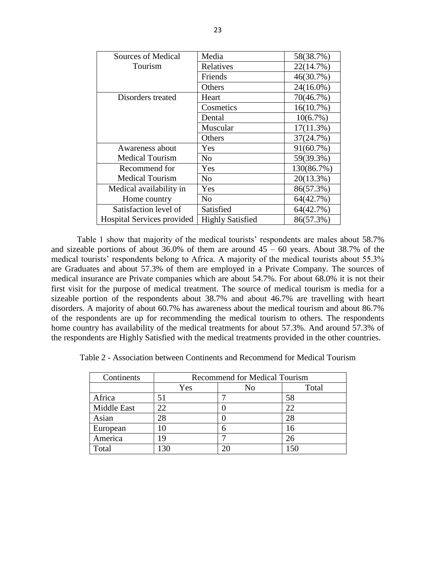| Sources of Medical         | Media                   | 58(38.7%)  |
|----------------------------|-------------------------|------------|
| Tourism                    | Relatives               | 22(14.7%)  |
|                            | Friends                 | 46(30.7%)  |
|                            | Others                  | 24(16.0%)  |
| Disorders treated          | Heart                   | 70(46.7%)  |
|                            | Cosmetics               | 16(10.7%)  |
|                            | Dental                  | 10(6.7%)   |
|                            | Muscular                | 17(11.3%)  |
|                            | Others                  | 37(24.7%)  |
| Awareness about            | Yes                     | 91(60.7%)  |
| <b>Medical Tourism</b>     | No                      | 59(39.3%)  |
| Recommend for              | Yes                     | 130(86.7%) |
| <b>Medical Tourism</b>     | No                      | 20(13.3%)  |
| Medical availability in    | Yes                     | 86(57.3%)  |
| Home country               | N <sub>o</sub>          | 64(42.7%)  |
| Satisfaction level of      | Satisfied               | 64(42.7%)  |
| Hospital Services provided | <b>Highly Satisfied</b> | 86(57.3%)  |

Table 1 show that majority of the medical tourists' respondents are males about 58.7% and sizeable portions of about  $36.0\%$  of them are around  $45 - 60$  years. About  $38.7\%$  of the medical tourists' respondents belong to Africa. A majority of the medical tourists about 55.3% are Graduates and about 57.3% of them are employed in a Private Company. The sources of medical insurance are Private companies which are about 54.7%. For about 68.0% it is not their first visit for the purpose of medical treatment. The source of medical tourism is media for a sizeable portion of the respondents about 38.7% and about 46.7% are travelling with heart disorders. A majority of about 60.7% has awareness about the medical tourism and about 86.7% of the respondents are up for recommending the medical tourism to others. The respondents home country has availability of the medical treatments for about 57.3%. And around 57.3% of the respondents are Highly Satisfied with the medical treatments provided in the other countries.

Table 2 - Association between Continents and Recommend for Medical Tourism

| Continents  | <b>Recommend for Medical Tourism</b> |    |       |  |
|-------------|--------------------------------------|----|-------|--|
|             | Yes                                  | No | Total |  |
| Africa      | 51                                   |    | 58    |  |
| Middle East | 22.                                  |    | 22    |  |
| Asian       | 28                                   |    | 28    |  |
| European    |                                      |    | 16    |  |
| America     | 19                                   |    |       |  |
| Total       | $\overline{30}$                      |    |       |  |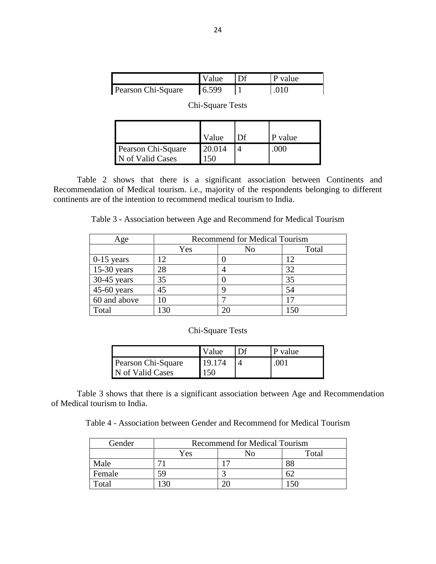|                    | Value | Df | P value |
|--------------------|-------|----|---------|
| Pearson Chi-Square | 6.599 |    | .010    |

Chi-Square Tests

|                                        | Value          | Df | P value |
|----------------------------------------|----------------|----|---------|
| Pearson Chi-Square<br>N of Valid Cases | 20.014<br>'50. |    | 000     |

Table 2 shows that there is a significant association between Continents and Recommendation of Medical tourism. i.e., majority of the respondents belonging to different continents are of the intention to recommend medical tourism to India.

Table 3 - Association between Age and Recommend for Medical Tourism

| Age           | <b>Recommend for Medical Tourism</b> |       |    |
|---------------|--------------------------------------|-------|----|
|               | Yes                                  | Total |    |
| $0-15$ years  |                                      |       | 12 |
| $15-30$ years | 28                                   |       | 32 |
| 30-45 years   | 35                                   |       | 35 |
| $45-60$ years | 45                                   |       | 54 |
| 60 and above  |                                      |       |    |
| Total         | ဒု႐                                  |       |    |

|                    | Value  | Df | P value |
|--------------------|--------|----|---------|
| Pearson Chi-Square | 19.174 |    | .001    |
| N of Valid Cases   | 150    |    |         |

Table 3 shows that there is a significant association between Age and Recommendation of Medical tourism to India.

Table 4 - Association between Gender and Recommend for Medical Tourism

| Gender | <b>Recommend for Medical Tourism</b> |  |    |  |  |
|--------|--------------------------------------|--|----|--|--|
|        | Total<br>Nο<br>Yes                   |  |    |  |  |
| Male   |                                      |  | 88 |  |  |
| Female |                                      |  |    |  |  |
| Total  |                                      |  |    |  |  |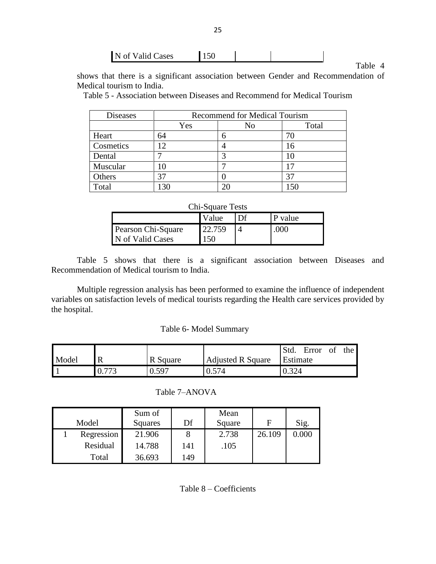| N of Valid Cases | 150 |  |  |  |
|------------------|-----|--|--|--|
|------------------|-----|--|--|--|

Table 4

shows that there is a significant association between Gender and Recommendation of Medical tourism to India.

Table 5 - Association between Diseases and Recommend for Medical Tourism

| <b>Diseases</b> | <b>Recommend for Medical Tourism</b> |  |    |  |
|-----------------|--------------------------------------|--|----|--|
|                 | Yes<br>Total<br>No                   |  |    |  |
| Heart           | 64                                   |  |    |  |
| Cosmetics       |                                      |  | 16 |  |
| Dental          |                                      |  |    |  |
| Muscular        |                                      |  |    |  |
| Others          |                                      |  |    |  |
| Total           |                                      |  |    |  |

## Chi-Square Tests

|                    | Value  | D <sub>f</sub> | P value |
|--------------------|--------|----------------|---------|
| Pearson Chi-Square | 22.759 |                | .000    |
| N of Valid Cases   | 150    |                |         |

Table 5 shows that there is a significant association between Diseases and Recommendation of Medical tourism to India.

Multiple regression analysis has been performed to examine the influence of independent variables on satisfaction levels of medical tourists regarding the Health care services provided by the hospital.

# Table 6- Model Summary

|       |          |                          | Std.     | Error | -of | the |
|-------|----------|--------------------------|----------|-------|-----|-----|
| Model | R Square | <b>Adjusted R Square</b> | Estimate |       |     |     |
|       | 0.597    | .574                     | 0.324    |       |     |     |

| Model      | Sum of<br>Squares | Df  | Mean<br>Square | F      | Sig.  |
|------------|-------------------|-----|----------------|--------|-------|
| Regression | 21.906            |     | 2.738          | 26.109 | 0.000 |
| Residual   | 14.788            | 141 | .105           |        |       |
| Total      | 36.693            | 149 |                |        |       |

Table 7–ANOVA

Table 8 – Coefficients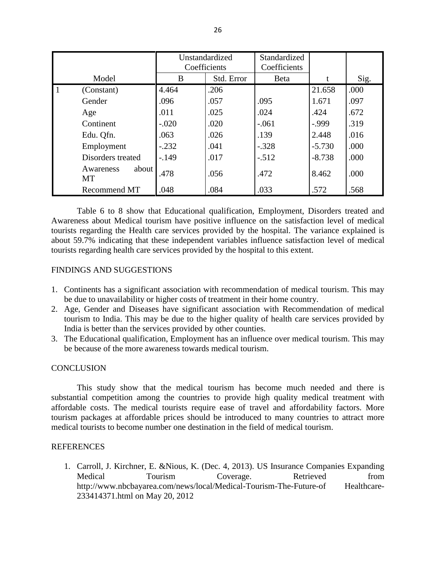|                          | Unstandardized<br>Coefficients |            | Standardized<br>Coefficients |          |      |
|--------------------------|--------------------------------|------------|------------------------------|----------|------|
| Model                    | B                              | Std. Error | Beta                         |          | Sig. |
| (Constant)               | 4.464                          | .206       |                              | 21.658   | .000 |
| Gender                   | .096                           | .057       | .095                         | 1.671    | .097 |
| Age                      | .011                           | .025       | .024                         | .424     | .672 |
| Continent                | $-.020$                        | .020       | $-.061$                      | $-0.999$ | .319 |
| Edu. Qfn.                | .063                           | .026       | .139                         | 2.448    | .016 |
| Employment               | $-.232$                        | .041       | $-.328$                      | $-5.730$ | .000 |
| Disorders treated        | $-149$                         | .017       | $-.512$                      | $-8.738$ | .000 |
| about<br>Awareness<br>MT | .478                           | .056       | .472                         | 8.462    | .000 |
| Recommend MT             | .048                           | .084       | .033                         | .572     | .568 |

Table 6 to 8 show that Educational qualification, Employment, Disorders treated and Awareness about Medical tourism have positive influence on the satisfaction level of medical tourists regarding the Health care services provided by the hospital. The variance explained is about 59.7% indicating that these independent variables influence satisfaction level of medical tourists regarding health care services provided by the hospital to this extent.

# FINDINGS AND SUGGESTIONS

- 1. Continents has a significant association with recommendation of medical tourism. This may be due to unavailability or higher costs of treatment in their home country.
- 2. Age, Gender and Diseases have significant association with Recommendation of medical tourism to India. This may be due to the higher quality of health care services provided by India is better than the services provided by other counties.
- 3. The Educational qualification, Employment has an influence over medical tourism. This may be because of the more awareness towards medical tourism.

## **CONCLUSION**

This study show that the medical tourism has become much needed and there is substantial competition among the countries to provide high quality medical treatment with affordable costs. The medical tourists require ease of travel and affordability factors. More tourism packages at affordable prices should be introduced to many countries to attract more medical tourists to become number one destination in the field of medical tourism.

# **REFERENCES**

1. Carroll, J. Kirchner, E. &Nious, K. (Dec. 4, 2013). US Insurance Companies Expanding Medical Tourism Coverage. Retrieved from http://www.nbcbayarea.com/news/local/Medical-Tourism-The-Future-of Healthcare-233414371.html on May 20, 2012